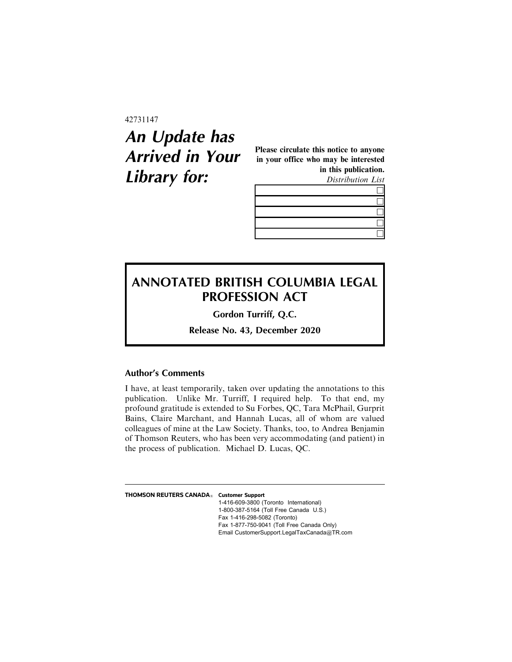#### 42731147

# **An Update has Arrived in Your Library for:**

Please circulate this notice to anyone in your office who may be interested in this publication. Distribution List



## **ANNOTATED BRITISH COLUMBIA LEGAL PROFESSION ACT**

**Gordon Turriff, Q.C.**

**Release No. 43, December 2020**

### **Author's Comments**

I have, at least temporarily, taken over updating the annotations to this publication. Unlike Mr. Turriff, I required help. To that end, my profound gratitude is extended to Su Forbes, QC, Tara McPhail, Gurprit Bains, Claire Marchant, and Hannah Lucas, all of whom are valued colleagues of mine at the Law Society. Thanks, too, to Andrea Benjamin of Thomson Reuters, who has been very accommodating (and patient) in the process of publication. Michael D. Lucas, QC.

| THOMSON REUTERS CANADA <sup>®</sup> Customer Support |                                             |
|------------------------------------------------------|---------------------------------------------|
|                                                      | 1-416-609-3800 (Toronto International)      |
|                                                      | 1-800-387-5164 (Toll Free Canada U.S.)      |
|                                                      | Fax 1-416-298-5082 (Toronto)                |
|                                                      | Fax 1-877-750-9041 (Toll Free Canada Only)  |
|                                                      | Email CustomerSupport.LegalTaxCanada@TR.com |